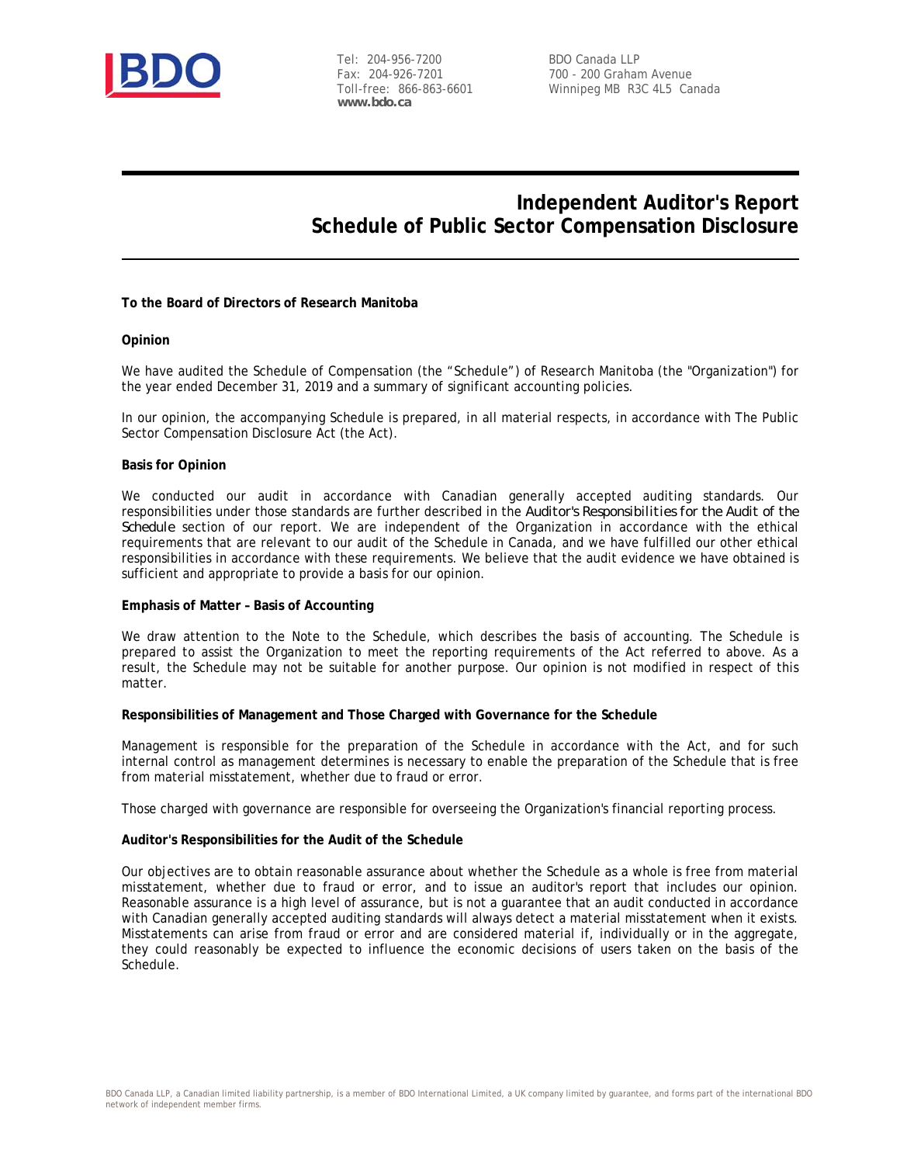

Tel: 204-956-7200 Fax: 204-926-7201 Toll-free: 866-863-6601 **www.bdo.ca**

BDO Canada LLP 700 - 200 Graham Avenue Winnipeg MB R3C 4L5 Canada

### **Independent Auditor's Report Schedule of Public Sector Compensation Disclosure**

**To the Board of Directors of Research Manitoba**

#### **Opinion**

We have audited the Schedule of Compensation (the "Schedule") of Research Manitoba (the "Organization") for the year ended December 31, 2019 and a summary of significant accounting policies.

In our opinion, the accompanying Schedule is prepared, in all material respects, in accordance with The Public Sector Compensation Disclosure Act (the Act).

#### **Basis for Opinion**

We conducted our audit in accordance with Canadian generally accepted auditing standards. Our responsibilities under those standards are further described in the *Auditor's Responsibilities for the Audit of the Schedule* section of our report. We are independent of the Organization in accordance with the ethical requirements that are relevant to our audit of the Schedule in Canada, and we have fulfilled our other ethical responsibilities in accordance with these requirements. We believe that the audit evidence we have obtained is sufficient and appropriate to provide a basis for our opinion.

#### **Emphasis of Matter – Basis of Accounting**

We draw attention to the Note to the Schedule, which describes the basis of accounting. The Schedule is prepared to assist the Organization to meet the reporting requirements of the Act referred to above. As a result, the Schedule may not be suitable for another purpose. Our opinion is not modified in respect of this matter.

**Responsibilities of Management and Those Charged with Governance for the Schedule**

Management is responsible for the preparation of the Schedule in accordance with the Act, and for such internal control as management determines is necessary to enable the preparation of the Schedule that is free from material misstatement, whether due to fraud or error.

Those charged with governance are responsible for overseeing the Organization's financial reporting process.

#### **Auditor's Responsibilities for the Audit of the Schedule**

Our objectives are to obtain reasonable assurance about whether the Schedule as a whole is free from material misstatement, whether due to fraud or error, and to issue an auditor's report that includes our opinion. Reasonable assurance is a high level of assurance, but is not a guarantee that an audit conducted in accordance with Canadian generally accepted auditing standards will always detect a material misstatement when it exists. Misstatements can arise from fraud or error and are considered material if, individually or in the aggregate, they could reasonably be expected to influence the economic decisions of users taken on the basis of the Schedule.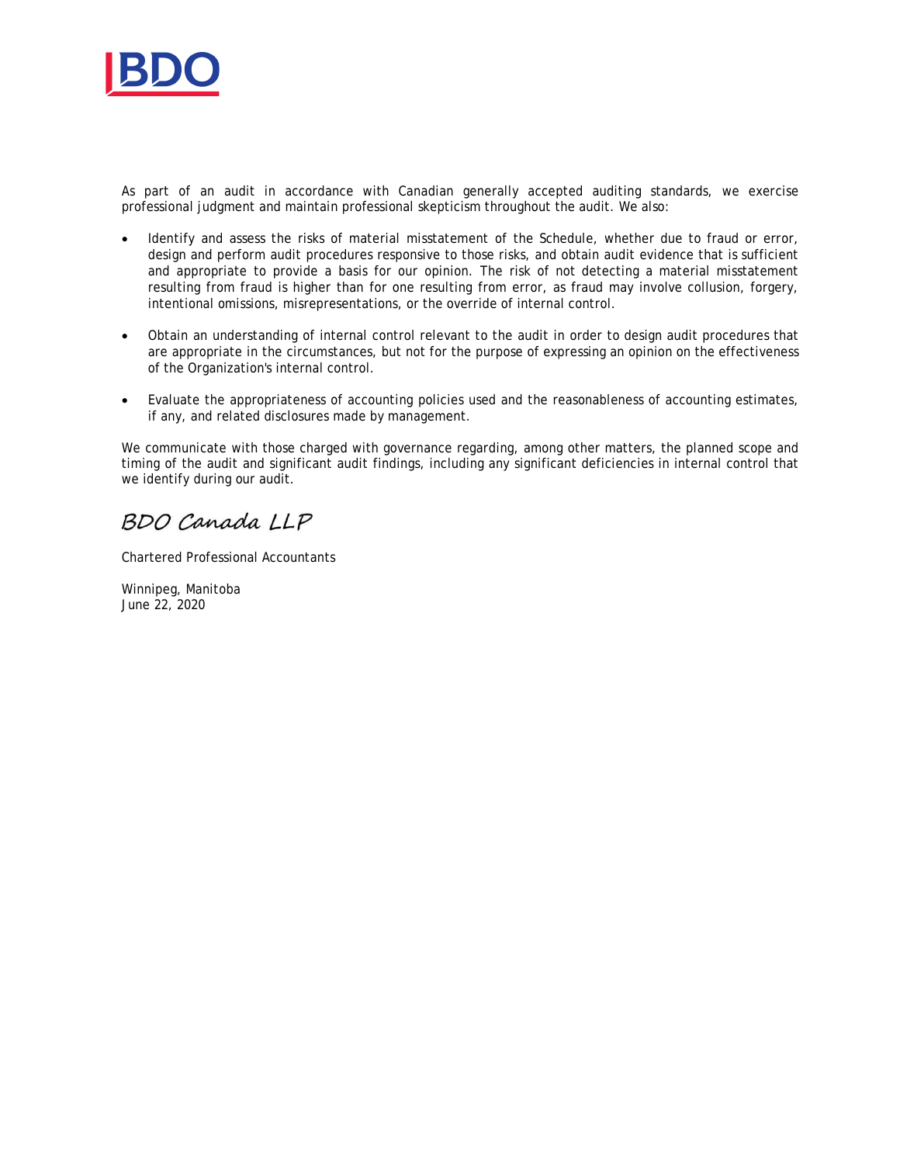

As part of an audit in accordance with Canadian generally accepted auditing standards, we exercise professional judgment and maintain professional skepticism throughout the audit. We also:

- Identify and assess the risks of material misstatement of the Schedule, whether due to fraud or error, design and perform audit procedures responsive to those risks, and obtain audit evidence that is sufficient and appropriate to provide a basis for our opinion. The risk of not detecting a material misstatement resulting from fraud is higher than for one resulting from error, as fraud may involve collusion, forgery, intentional omissions, misrepresentations, or the override of internal control.
- · Obtain an understanding of internal control relevant to the audit in order to design audit procedures that are appropriate in the circumstances, but not for the purpose of expressing an opinion on the effectiveness of the Organization's internal control.
- · Evaluate the appropriateness of accounting policies used and the reasonableness of accounting estimates, if any, and related disclosures made by management.

We communicate with those charged with governance regarding, among other matters, the planned scope and timing of the audit and significant audit findings, including any significant deficiencies in internal control that we identify during our audit.

BDO Canada LLP

Chartered Professional Accountants

Winnipeg, Manitoba June 22, 2020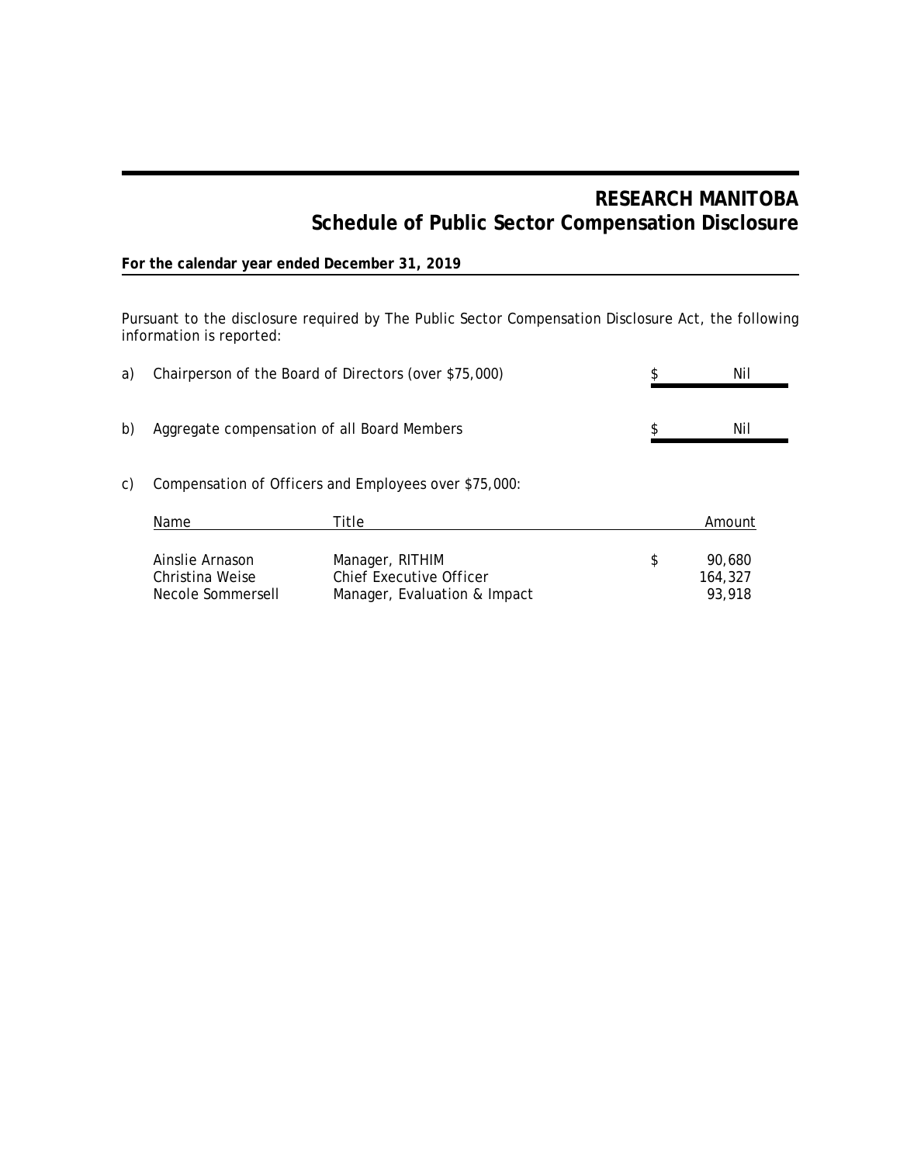# **RESEARCH MANITOBA Schedule of Public Sector Compensation Disclosure**

### **For the calendar year ended December 31, 2019**

Pursuant to the disclosure required by The Public Sector Compensation Disclosure Act, the following information is reported:

| a) |                                                         | Chairperson of the Board of Directors (over \$75,000)                      |    | Nil                         |
|----|---------------------------------------------------------|----------------------------------------------------------------------------|----|-----------------------------|
| b) | Aggregate compensation of all Board Members             |                                                                            |    | Nil                         |
| C) | Compensation of Officers and Employees over \$75,000:   |                                                                            |    |                             |
|    | Name                                                    | Title                                                                      |    | Amount                      |
|    | Ainslie Arnason<br>Christina Weise<br>Necole Sommersell | Manager, RITHIM<br>Chief Executive Officer<br>Manager, Evaluation & Impact | \$ | 90.680<br>164,327<br>93,918 |